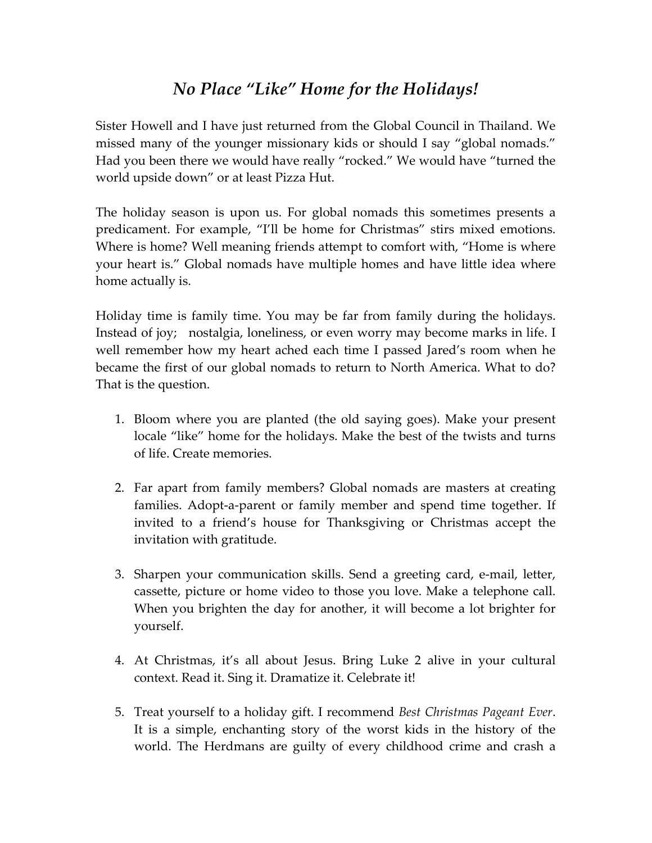## *No Place "Like" Home for the Holidays!*

Sister Howell and I have just returned from the Global Council in Thailand. We missed many of the younger missionary kids or should I say "global nomads." Had you been there we would have really "rocked." We would have "turned the world upside down" or at least Pizza Hut.

The holiday season is upon us. For global nomads this sometimes presents a predicament. For example, "I'll be home for Christmas" stirs mixed emotions. Where is home? Well meaning friends attempt to comfort with, "Home is where your heart is." Global nomads have multiple homes and have little idea where home actually is.

Holiday time is family time. You may be far from family during the holidays. Instead of joy; nostalgia, loneliness, or even worry may become marks in life. I well remember how my heart ached each time I passed Jared's room when he became the first of our global nomads to return to North America. What to do? That is the question.

- 1. Bloom where you are planted (the old saying goes). Make your present locale "like" home for the holidays. Make the best of the twists and turns of life. Create memories.
- 2. Far apart from family members? Global nomads are masters at creating families. Adopt-a-parent or family member and spend time together. If invited to a friend's house for Thanksgiving or Christmas accept the invitation with gratitude.
- 3. Sharpen your communication skills. Send a greeting card, e‐mail, letter, cassette, picture or home video to those you love. Make a telephone call. When you brighten the day for another, it will become a lot brighter for yourself.
- 4. At Christmas, it's all about Jesus. Bring Luke 2 alive in your cultural context. Read it. Sing it. Dramatize it. Celebrate it!
- 5. Treat yourself to a holiday gift. I recommend *Best Christmas Pageant Ever*. It is a simple, enchanting story of the worst kids in the history of the world. The Herdmans are guilty of every childhood crime and crash a